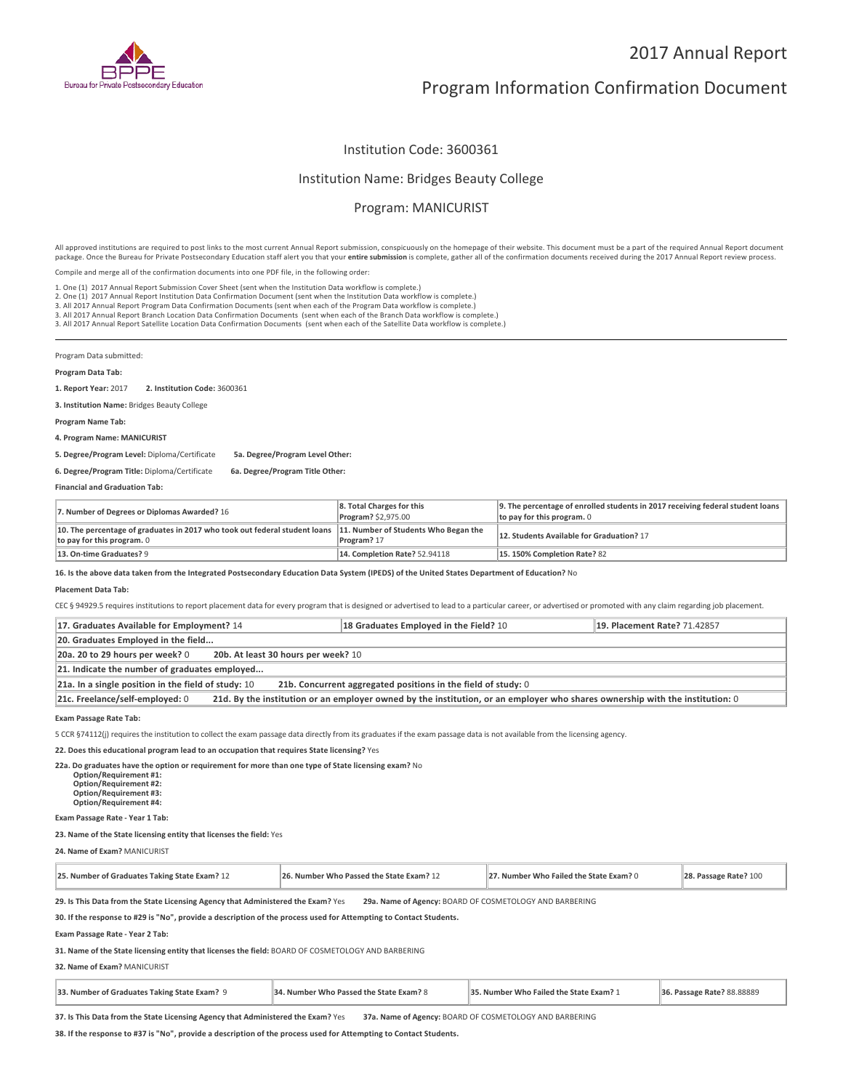

# Program Information Confirmation Document

## Institution Code: 3600361

### Institution Name: Bridges Beauty College

# Program: MANICURIST

All approved institutions are required to post links to the most current Annual Report submission, conspicuously on the homepage of their website. This document must be a part of the required Annual Report document package. Once the Bureau for Private Postsecondary Education staff alert you that your **entire submission** is complete, gather all of the confirmation documents received during the 2017 Annual Report review process.

Compile and merge all of the confirmation documents into one PDF file, in the following order:

1. One (1) 2017 Annual Report Submission Cover Sheet (sent when the Institution Data workflow is complete.)

1. One (1) 2017 Annual Report Submission Cover Sheet (sent when the Institution Data workflow is complete.)<br>2. One (1) 2017 Annual Report Institution Data Confirmation Document (sent when the Institution Data workflow is c

3. All 2017 Annual Report Branch Location Data Confirmation Documents (sent when each of the Branch Data workflow is complete.)

3. All 2017 Annual Report Satellite Location Data Confirmation Documents (sent when each of the Satellite Data workflow is complete.)

Program Data submitted:

#### **Program Data Tab:**

**1. Report Year:** 2017 **2. Institution Code:** <sup>3600361</sup>

**3. Institution Name:** Bridges Beauty College

**Program Name Tab:**

**4. Program Name: MANICURIST**

**5. Degree/Program Level:** Diploma/Certificate **5a. Degree/Program Level Other:**

**6. Degree/Program Title:** Diploma/Certificate **6a. Degree/Program Title Other:**

**Financial and Graduation Tab:**

| 7. Number of Degrees or Diplomas Awarded? 16                                                                                                       | 8. Total Charges for this<br>Program? \$2,975.00 | 9. The percentage of enrolled students in 2017 receiving federal student loans<br>to pay for this program. $0$ |
|----------------------------------------------------------------------------------------------------------------------------------------------------|--------------------------------------------------|----------------------------------------------------------------------------------------------------------------|
| 10. The percentage of graduates in 2017 who took out federal student loans $\ $ 11. Number of Students Who Began the<br>to pay for this program. 0 | Program? 17                                      | 12. Students Available for Graduation? 17                                                                      |
| 13. On-time Graduates? 9                                                                                                                           | <b>14. Completion Rate? 52.94118</b>             | 15.150% Completion Rate? 82                                                                                    |

**16. Is the above data taken from the Integrated Postsecondary Education Data System (IPEDS) of the United States Department of Education?** No

#### **Placement Data Tab:**

CEC § 94929.5 requires institutions to report placement data for every program that is designed or advertised to lead to a particular career, or advertised or promoted with any claim regarding job placement.

| 17. Graduates Available for Employment? 14                                                                                                                      | 18 Graduates Employed in the Field? 10 | 19. Placement Rate? 71.42857 |  |
|-----------------------------------------------------------------------------------------------------------------------------------------------------------------|----------------------------------------|------------------------------|--|
| 20. Graduates Employed in the field                                                                                                                             |                                        |                              |  |
| 20a. 20 to 29 hours per week? 0<br>20b. At least 30 hours per week? 10                                                                                          |                                        |                              |  |
| 21. Indicate the number of graduates employed                                                                                                                   |                                        |                              |  |
| 21a. In a single position in the field of study: $10$<br>21b. Concurrent aggregated positions in the field of study: 0                                          |                                        |                              |  |
| 21d. By the institution or an employer owned by the institution, or an employer who shares ownership with the institution: 0<br>21c. Freelance/self-employed: 0 |                                        |                              |  |

**Exam Passage Rate Tab:**

5 CCR §74112(j) requires the institution to collect the exam passage data directly from its graduates if the exam passage data is not available from the licensing agency.

**22. Does this educational program lead to an occupation that requires State licensing?** Yes

**22a. Do graduates have the option or requirement for more than one type of State licensing exam?** No **Option/Requirement #1: Option/Requirement #2: Option/Requirement #3: Option/Requirement #4:**

**Exam Passage Rate - Year 1 Tab:**

**23. Name of the State licensing entity that licenses the field:** Yes

**24. Name of Exam?** MANICURIST

| 25. Number of Graduates Taking State Exam? 12<br>26. Number Who Passed the State Exam? 12 | 27. Number Who Failed the State Exam? 0 | 28. Passage Rate? 100 |
|-------------------------------------------------------------------------------------------|-----------------------------------------|-----------------------|
|-------------------------------------------------------------------------------------------|-----------------------------------------|-----------------------|

**29. Is This Data from the State Licensing Agency that Administered the Exam?** Yes **29a. Name of Agency:** BOARD OF COSMETOLOGY AND BARBERING

**30. If the response to #29 is "No", provide a description of the process used for Attempting to Contact Students.**

**Exam Passage Rate - Year 2 Tab:**

**31. Name of the State licensing entity that licenses the field:** BOARD OF COSMETOLOGY AND BARBERING

**32. Name of Exam?** MANICURIST

| 33. Number of Graduates Taking State Exam? 9 | 34. Number Who Passed the State Exam? 8 | 35. Number Who Failed the State Exam? 1 | 36. Passage Rate? 88.88889 |
|----------------------------------------------|-----------------------------------------|-----------------------------------------|----------------------------|
|----------------------------------------------|-----------------------------------------|-----------------------------------------|----------------------------|

**37. Is This Data from the State Licensing Agency that Administered the Exam?** Yes **37a. Name of Agency:** BOARD OF COSMETOLOGY AND BARBERING

**38. If the response to #37 is "No", provide a description of the process used for Attempting to Contact Students.**